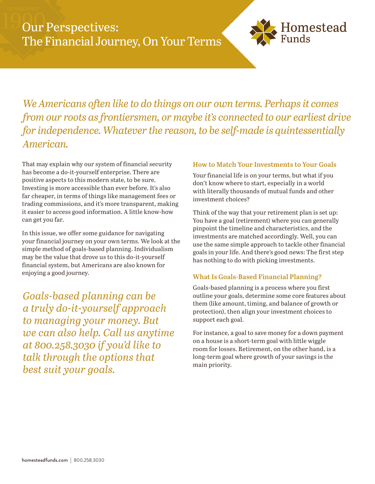

*We Americans often like to do things on our own terms. Perhaps it comes from our roots as frontiersmen, or maybe it's connected to our earliest drive for independence. Whatever the reason, to be self-made is quintessentially American.*

That may explain why our system of financial security has become a do-it-yourself enterprise. There are positive aspects to this modern state, to be sure. Investing is more accessible than ever before. It's also far cheaper, in terms of things like management fees or trading commissions, and it's more transparent, making it easier to access good information. A little know-how can get you far.

In this issue, we offer some guidance for navigating your financial journey on your own terms. We look at the simple method of goals-based planning. Individualism may be the value that drove us to this do-it-yourself financial system, but Americans are also known for enjoying a good journey.

*Goals-based planning can be a truly do-it-yourself approach to managing your money. But we can also help. Call us anytime at 800.258.3030 if you'd like to talk through the options that best suit your goals.*

## **How to Match Your Investments to Your Goals**

Your financial life is on your terms, but what if you don't know where to start, especially in a world with literally thousands of mutual funds and other investment choices?

Think of the way that your retirement plan is set up: You have a goal (retirement) where you can generally pinpoint the timeline and characteristics, and the investments are matched accordingly. Well, you can use the same simple approach to tackle other financial goals in your life. And there's good news: The first step has nothing to do with picking investments.

## **What Is Goals-Based Financial Planning?**

Goals-based planning is a process where you first outline your goals, determine some core features about them (like amount, timing, and balance of growth or protection), then align your investment choices to support each goal.

For instance, a goal to save money for a down payment on a house is a short-term goal with little wiggle room for losses. Retirement, on the other hand, is a long-term goal where growth of your savings is the main priority.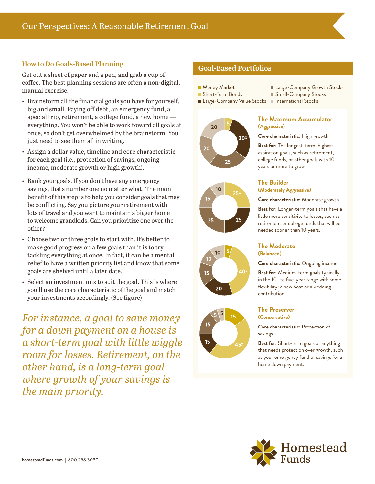## **How to Do Goals-Based Planning**

Get out a sheet of paper and a pen, and grab a cup of coffee. The best planning sessions are often a non-digital, manual exercise.

- Brainstorm all the financial goals you have for yourself, big and small. Paying off debt, an emergency fund, a special trip, retirement, a college fund, a new home everything. You won't be able to work toward all goals at once, so don't get overwhelmed by the brainstorm. You just need to see them all in writing.
- Assign a dollar value, timeline and core characteristic for each goal (i.e., protection of savings, ongoing income, moderate growth or high growth).
- Rank your goals. If you don't have any emergency savings, that's number one no matter what! The main benefit of this step is to help you consider goals that may be conflicting. Say you picture your retirement with lots of travel and you want to maintain a bigger home to welcome grandkids. Can you prioritize one over the other?
- Choose two or three goals to start with. It's better to make good progress on a few goals than it is to try tackling everything at once. In fact, it can be a mental relief to have a written priority list and know that some goals are shelved until a later date.
- Select an investment mix to suit the goal. This is where you'll use the core characteristic of the goal and match your investments accordingly. (See figure)

*For instance, a goal to save money for a down payment on a house is a short-term goal with little wiggle room for losses. Retirement, on the other hand, is a long-term goal where growth of your savings is the main priority.*

# **Goal-Based Portfolios**

- **Money Market**
- Short-Term Bonds
- Large-Company Value Stocks International Stocks









■ Small-Company Stocks

■ Large-Company Growth Stocks

### **The Maximum Accumulator (Aggressive)**

**Core characteristic:** High growth

**Best for:** The longest-term, highestaspiration goals, such as retirement, college funds, or other goals with 10 years or more to grow.

### **The Builder (Moderately Aggressive)**

**Core characteristic:** Moderate growth

**Best for:** Longer-term goals that have a little more sensitivity to losses, such as retirement or college funds that will be needed sooner than 10 years.

#### **The Moderate (Balanced)**

#### **Core characteristic:** Ongoing income

**Best for:** Medium-term goals typically in the 10- to five-year range with some flexibility: a new boat or a wedding contribution.

#### **The Preserver (Conservative)**

**Core characteristic:** Protection of savings

**Best for:** Short-term goals or anything that needs protection over growth, such as your emergency fund or savings for a home down payment.

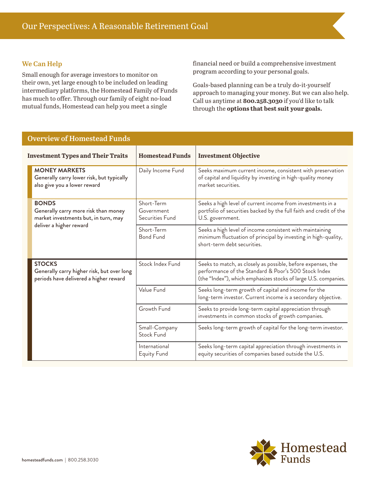### **We Can Help**

Small enough for average investors to monitor on their own, yet large enough to be included on leading intermediary platforms, the Homestead Family of Funds has much to offer. Through our family of eight no-load mutual funds, Homestead can help you meet a single

financial need or build a comprehensive investment program according to your personal goals.

Goals-based planning can be a truly do-it-yourself approach to managing your money. But we can also help. Call us anytime at **800.258.3030** if you'd like to talk through the **options that best suit your goals.**

| <b>Overview of Homestead Funds</b>                                                                                      |                                             |                                                                                                                                                                                         |
|-------------------------------------------------------------------------------------------------------------------------|---------------------------------------------|-----------------------------------------------------------------------------------------------------------------------------------------------------------------------------------------|
| <b>Investment Types and Their Traits</b>                                                                                | <b>Homestead Funds</b>                      | <b>Investment Objective</b>                                                                                                                                                             |
| <b>MONEY MARKETS</b><br>Generally carry lower risk, but typically<br>also give you a lower reward                       | Daily Income Fund                           | Seeks maximum current income, consistent with preservation<br>of capital and liquidity by investing in high-quality money<br>market securities.                                         |
| <b>BONDS</b><br>Generally carry more risk than money<br>market investments but, in turn, may<br>deliver a higher reward | Short-Term<br>Government<br>Securities Fund | Seeks a high level of current income from investments in a<br>portfolio of securities backed by the full faith and credit of the<br>U.S. government.                                    |
|                                                                                                                         | Short-Term<br><b>Bond Fund</b>              | Seeks a high level of income consistent with maintaining<br>minimum fluctuation of principal by investing in high-quality,<br>short-term debt securities.                               |
| <b>STOCKS</b><br>Generally carry higher risk, but over long<br>periods have delivered a higher reward                   | Stock Index Fund                            | Seeks to match, as closely as possible, before expenses, the<br>performance of the Standard & Poor's 500 Stock Index<br>(the "Index"), which emphasizes stocks of large U.S. companies. |
|                                                                                                                         | Value Fund                                  | Seeks long-term growth of capital and income for the<br>long-term investor. Current income is a secondary objective.                                                                    |
|                                                                                                                         | Growth Fund                                 | Seeks to provide long-term capital appreciation through<br>investments in common stocks of growth companies.                                                                            |
|                                                                                                                         | Small-Company<br><b>Stock Fund</b>          | Seeks long-term growth of capital for the long-term investor.                                                                                                                           |
|                                                                                                                         | International<br><b>Equity Fund</b>         | Seeks long-term capital appreciation through investments in<br>equity securities of companies based outside the U.S.                                                                    |